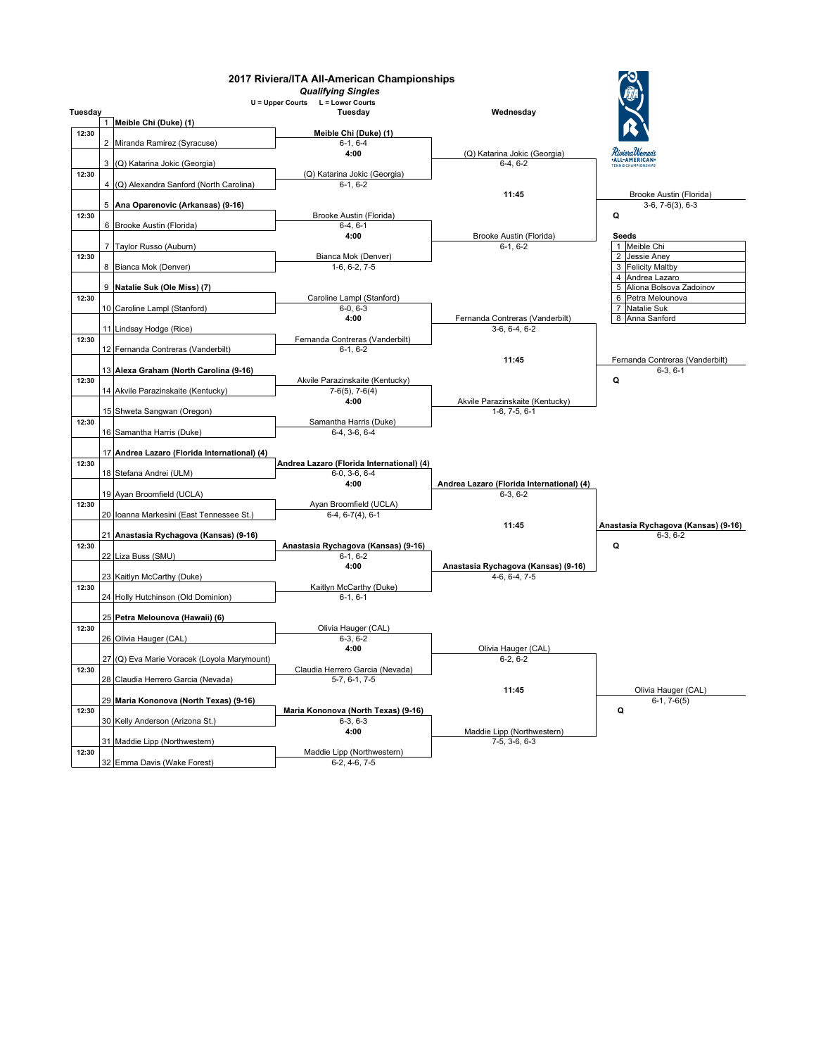